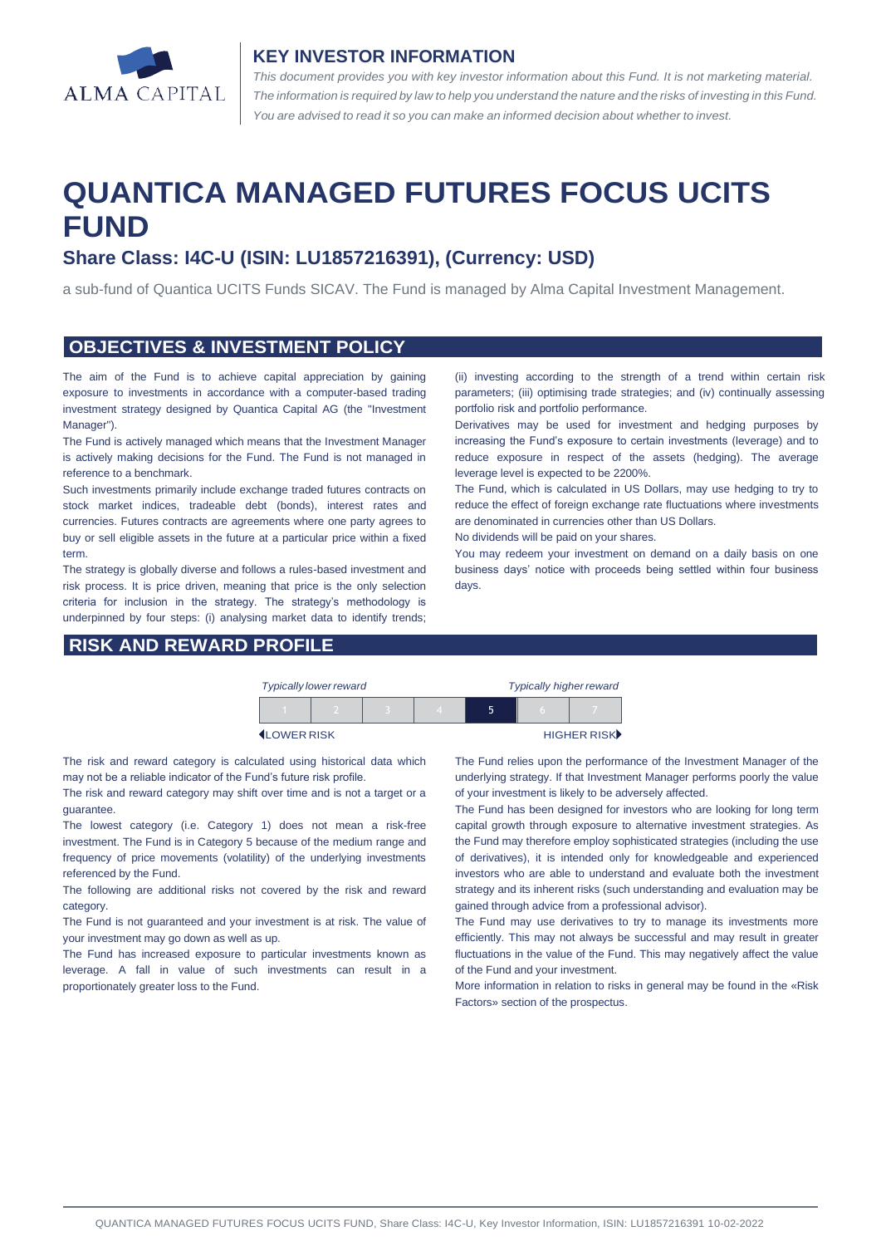

#### **KEY INVESTOR INFORMATION**

*This document provides you with key investor information about this Fund. It is not marketing material.*  The information is required by law to help you understand the nature and the risks of investing in this Fund. *You are advised to read it so you can make an informed decision about whether to invest.*

# **QUANTICA MANAGED FUTURES FOCUS UCITS FUND**

## **Share Class: I4C-U (ISIN: LU1857216391), (Currency: USD)**

a sub-fund of Quantica UCITS Funds SICAV. The Fund is managed by Alma Capital Investment Management.

#### **OBJECTIVES & INVESTMENT POLICY**

The aim of the Fund is to achieve capital appreciation by gaining exposure to investments in accordance with a computer-based trading investment strategy designed by Quantica Capital AG (the "Investment Manager").

The Fund is actively managed which means that the Investment Manager is actively making decisions for the Fund. The Fund is not managed in reference to a benchmark.

Such investments primarily include exchange traded futures contracts on stock market indices, tradeable debt (bonds), interest rates and currencies. Futures contracts are agreements where one party agrees to buy or sell eligible assets in the future at a particular price within a fixed term.

The strategy is globally diverse and follows a rules-based investment and risk process. It is price driven, meaning that price is the only selection criteria for inclusion in the strategy. The strategy's methodology is underpinned by four steps: (i) analysing market data to identify trends;

#### **RISK AND REWARD PROFILE**

(ii) investing according to the strength of a trend within certain risk parameters; (iii) optimising trade strategies; and (iv) continually assessing portfolio risk and portfolio performance.

Derivatives may be used for investment and hedging purposes by increasing the Fund's exposure to certain investments (leverage) and to reduce exposure in respect of the assets (hedging). The average leverage level is expected to be 2200%.

The Fund, which is calculated in US Dollars, may use hedging to try to reduce the effect of foreign exchange rate fluctuations where investments are denominated in currencies other than US Dollars.

No dividends will be paid on your shares.

You may redeem your investment on demand on a daily basis on one business days' notice with proceeds being settled within four business days.

|                    | <b>Typically lower reward</b> |  | <b>Typically higher reward</b> |   |  |             |
|--------------------|-------------------------------|--|--------------------------------|---|--|-------------|
|                    |                               |  |                                | ↖ |  |             |
| <b>ILOWER RISK</b> |                               |  |                                |   |  | HIGHER RISK |

The risk and reward category is calculated using historical data which may not be a reliable indicator of the Fund's future risk profile.

The risk and reward category may shift over time and is not a target or a guarantee.

The lowest category (i.e. Category 1) does not mean a risk-free investment. The Fund is in Category 5 because of the medium range and frequency of price movements (volatility) of the underlying investments referenced by the Fund.

The following are additional risks not covered by the risk and reward category.

The Fund is not guaranteed and your investment is at risk. The value of your investment may go down as well as up.

The Fund has increased exposure to particular investments known as leverage. A fall in value of such investments can result in a proportionately greater loss to the Fund.

The Fund relies upon the performance of the Investment Manager of the underlying strategy. If that Investment Manager performs poorly the value of your investment is likely to be adversely affected.

The Fund has been designed for investors who are looking for long term capital growth through exposure to alternative investment strategies. As the Fund may therefore employ sophisticated strategies (including the use of derivatives), it is intended only for knowledgeable and experienced investors who are able to understand and evaluate both the investment strategy and its inherent risks (such understanding and evaluation may be gained through advice from a professional advisor).

The Fund may use derivatives to try to manage its investments more efficiently. This may not always be successful and may result in greater fluctuations in the value of the Fund. This may negatively affect the value of the Fund and your investment.

More information in relation to risks in general may be found in the «Risk Factors» section of the prospectus.